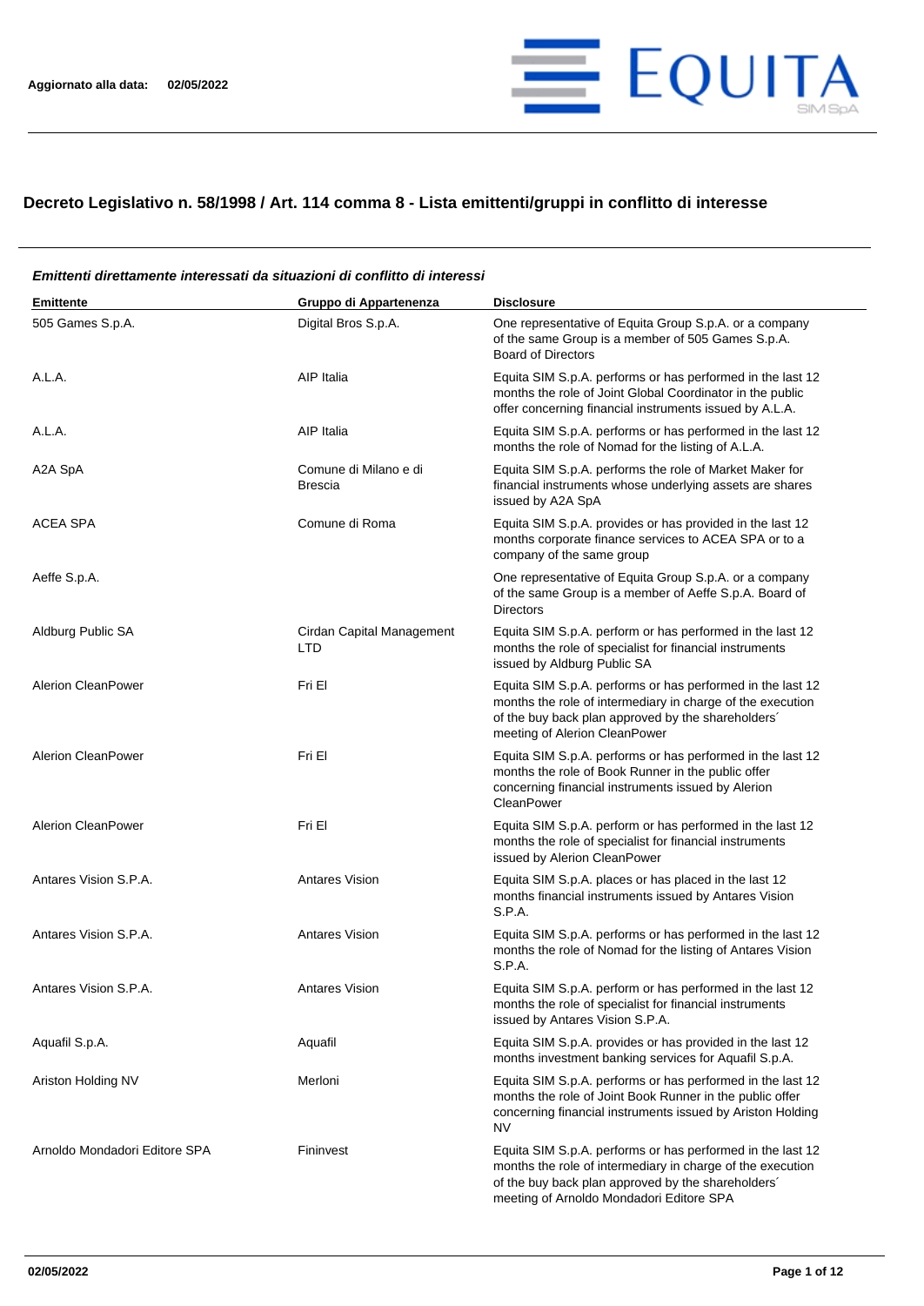

## **Decreto Legislativo n. 58/1998 / Art. 114 comma 8 - Lista emittenti/gruppi in conflitto di interesse**

#### **Emittente Gruppo di Appartenenza Disclosure** 505 Games S.p.A. Digital Bros S.p.A. One representative of Equita Group S.p.A. or a company of the same Group is a member of 505 Games S.p.A. Board of Directors A.L.A. A.L.A. A.L.A. A.L.A. A.L.A. **A.L.A.** A.L.A. performs or has performed in the last 12 months the role of Joint Global Coordinator in the public offer concerning financial instruments issued by A.L.A. A.L.A. A.L.A. A.L.A. AIP Italia AIP Italia Equita SIM S.p.A. performs or has performed in the last 12 months the role of Nomad for the listing of A.L.A. A2A SpA Comune di Milano e di Brescia Equita SIM S.p.A. performs the role of Market Maker for financial instruments whose underlying assets are shares issued by A2A SpA ACEA SPA Comune di Roma Equita SIM S.p.A. provides or has provided in the last 12 months corporate finance services to ACEA SPA or to a company of the same group Aeffe S.p.A. One representative of Equita Group S.p.A. or a company of the same Group is a member of Aeffe S.p.A. Board of Directors Aldburg Public SA Cirdan Capital Management LTD Equita SIM S.p.A. perform or has performed in the last 12 months the role of specialist for financial instruments issued by Aldburg Public SA Alerion CleanPower **Fri El El El El El El El El El El El El El** Equita SIM S.p.A. performs or has performed in the last 12 months the role of intermediary in charge of the execution of the buy back plan approved by the shareholders´ meeting of Alerion CleanPower Alerion CleanPower **Fri El El El El El El El El El El El El El** Equita SIM S.p.A. performs or has performed in the last 12 months the role of Book Runner in the public offer concerning financial instruments issued by Alerion **CleanPower** Alerion CleanPower Fri El Fri El El Equita SIM S.p.A. perform or has performed in the last 12 months the role of specialist for financial instruments issued by Alerion CleanPower Antares Vision S.P.A. **Antares Vision** Antares Vision Equita SIM S.p.A. places or has placed in the last 12 months financial instruments issued by Antares Vision S.P.A. Antares Vision S.P.A. **Antares Vision** Antares Vision Equita SIM S.p.A. performs or has performed in the last 12 months the role of Nomad for the listing of Antares Vision S.P.A. Antares Vision S.P.A. Antares Vision Equita SIM S.p.A. perform or has performed in the last 12 months the role of specialist for financial instruments issued by Antares Vision S.P.A. Aquafil S.p.A. Aquafil Aquafil Equita SIM S.p.A. provides or has provided in the last 12 months investment banking services for Aquafil S.p.A. Ariston Holding NV **Merloni** Merloni **Equita SIM S.p.A. performs or has performed in the last 12** months the role of Joint Book Runner in the public offer concerning financial instruments issued by Ariston Holding NV Arnoldo Mondadori Editore SPA Fininvest Fininvest Equita SIM S.p.A. performs or has performed in the last 12 months the role of intermediary in charge of the execution of the buy back plan approved by the shareholders´ meeting of Arnoldo Mondadori Editore SPA

# *Emittenti direttamente interessati da situazioni di conflitto di interessi*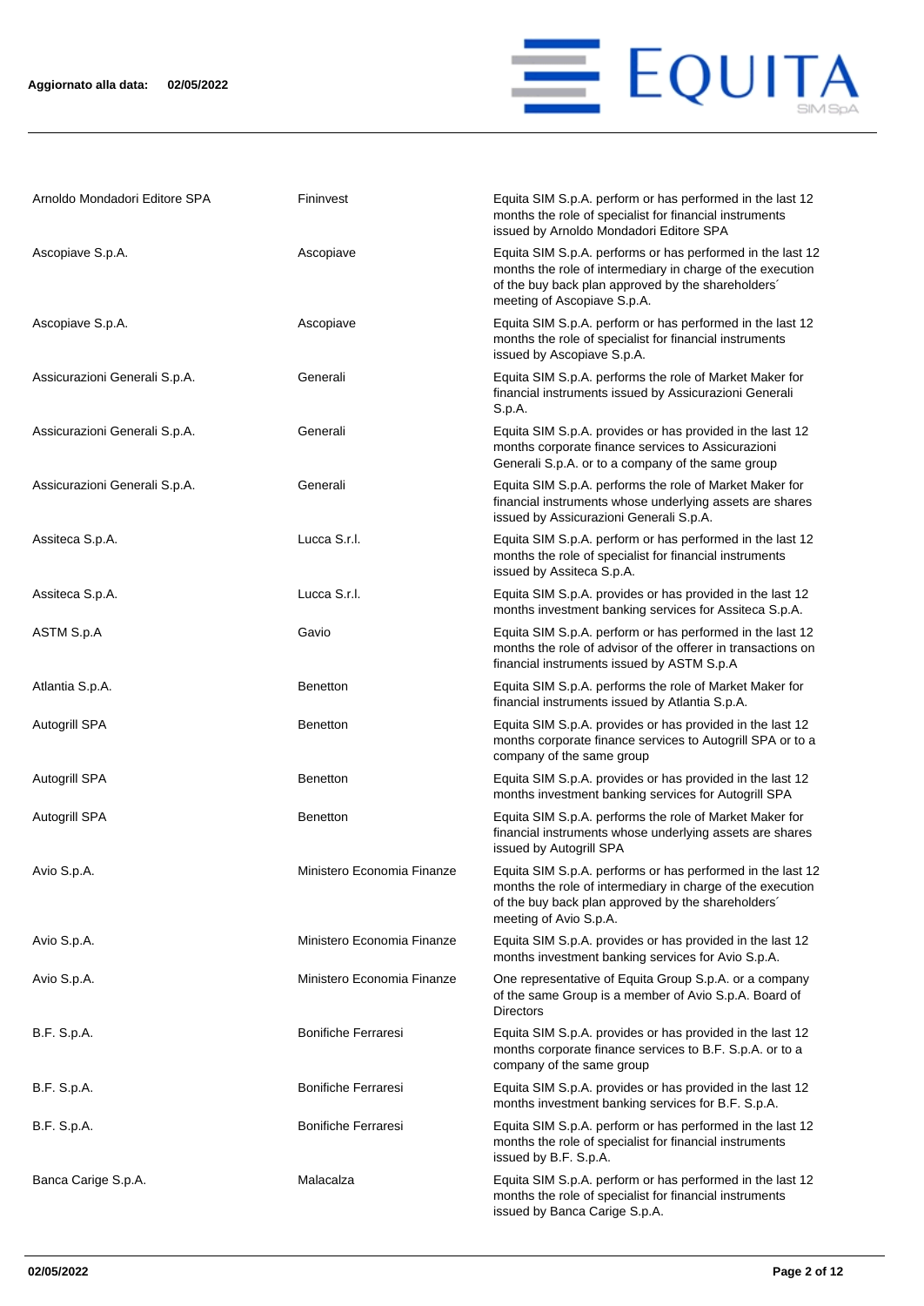

| Arnoldo Mondadori Editore SPA | Fininvest                  | Equita SIM S.p.A. perform or has performed in the last 12<br>months the role of specialist for financial instruments<br>issued by Arnoldo Mondadori Editore SPA                                               |
|-------------------------------|----------------------------|---------------------------------------------------------------------------------------------------------------------------------------------------------------------------------------------------------------|
| Ascopiave S.p.A.              | Ascopiave                  | Equita SIM S.p.A. performs or has performed in the last 12<br>months the role of intermediary in charge of the execution<br>of the buy back plan approved by the shareholders'<br>meeting of Ascopiave S.p.A. |
| Ascopiave S.p.A.              | Ascopiave                  | Equita SIM S.p.A. perform or has performed in the last 12<br>months the role of specialist for financial instruments<br>issued by Ascopiave S.p.A.                                                            |
| Assicurazioni Generali S.p.A. | Generali                   | Equita SIM S.p.A. performs the role of Market Maker for<br>financial instruments issued by Assicurazioni Generali<br>S.p.A.                                                                                   |
| Assicurazioni Generali S.p.A. | Generali                   | Equita SIM S.p.A. provides or has provided in the last 12<br>months corporate finance services to Assicurazioni<br>Generali S.p.A. or to a company of the same group                                          |
| Assicurazioni Generali S.p.A. | Generali                   | Equita SIM S.p.A. performs the role of Market Maker for<br>financial instruments whose underlying assets are shares<br>issued by Assicurazioni Generali S.p.A.                                                |
| Assiteca S.p.A.               | Lucca S.r.l.               | Equita SIM S.p.A. perform or has performed in the last 12<br>months the role of specialist for financial instruments<br>issued by Assiteca S.p.A.                                                             |
| Assiteca S.p.A.               | Lucca S.r.l.               | Equita SIM S.p.A. provides or has provided in the last 12<br>months investment banking services for Assiteca S.p.A.                                                                                           |
| ASTM S.p.A                    | Gavio                      | Equita SIM S.p.A. perform or has performed in the last 12<br>months the role of advisor of the offerer in transactions on<br>financial instruments issued by ASTM S.p.A                                       |
| Atlantia S.p.A.               | <b>Benetton</b>            | Equita SIM S.p.A. performs the role of Market Maker for<br>financial instruments issued by Atlantia S.p.A.                                                                                                    |
| Autogrill SPA                 | <b>Benetton</b>            | Equita SIM S.p.A. provides or has provided in the last 12<br>months corporate finance services to Autogrill SPA or to a<br>company of the same group                                                          |
| Autogrill SPA                 | <b>Benetton</b>            | Equita SIM S.p.A. provides or has provided in the last 12<br>months investment banking services for Autogrill SPA                                                                                             |
| Autogrill SPA                 | <b>Benetton</b>            | Equita SIM S.p.A. performs the role of Market Maker for<br>financial instruments whose underlying assets are shares<br>issued by Autogrill SPA                                                                |
| Avio S.p.A.                   | Ministero Economia Finanze | Equita SIM S.p.A. performs or has performed in the last 12<br>months the role of intermediary in charge of the execution<br>of the buy back plan approved by the shareholders'<br>meeting of Avio S.p.A.      |
| Avio S.p.A.                   | Ministero Economia Finanze | Equita SIM S.p.A. provides or has provided in the last 12<br>months investment banking services for Avio S.p.A.                                                                                               |
| Avio S.p.A.                   | Ministero Economia Finanze | One representative of Equita Group S.p.A. or a company<br>of the same Group is a member of Avio S.p.A. Board of<br><b>Directors</b>                                                                           |
| B.F. S.p.A.                   | <b>Bonifiche Ferraresi</b> | Equita SIM S.p.A. provides or has provided in the last 12<br>months corporate finance services to B.F. S.p.A. or to a<br>company of the same group                                                            |
| B.F. S.p.A.                   | <b>Bonifiche Ferraresi</b> | Equita SIM S.p.A. provides or has provided in the last 12<br>months investment banking services for B.F. S.p.A.                                                                                               |
| B.F. S.p.A.                   | <b>Bonifiche Ferraresi</b> | Equita SIM S.p.A. perform or has performed in the last 12<br>months the role of specialist for financial instruments<br>issued by B.F. S.p.A.                                                                 |
| Banca Carige S.p.A.           | Malacalza                  | Equita SIM S.p.A. perform or has performed in the last 12<br>months the role of specialist for financial instruments<br>issued by Banca Carige S.p.A.                                                         |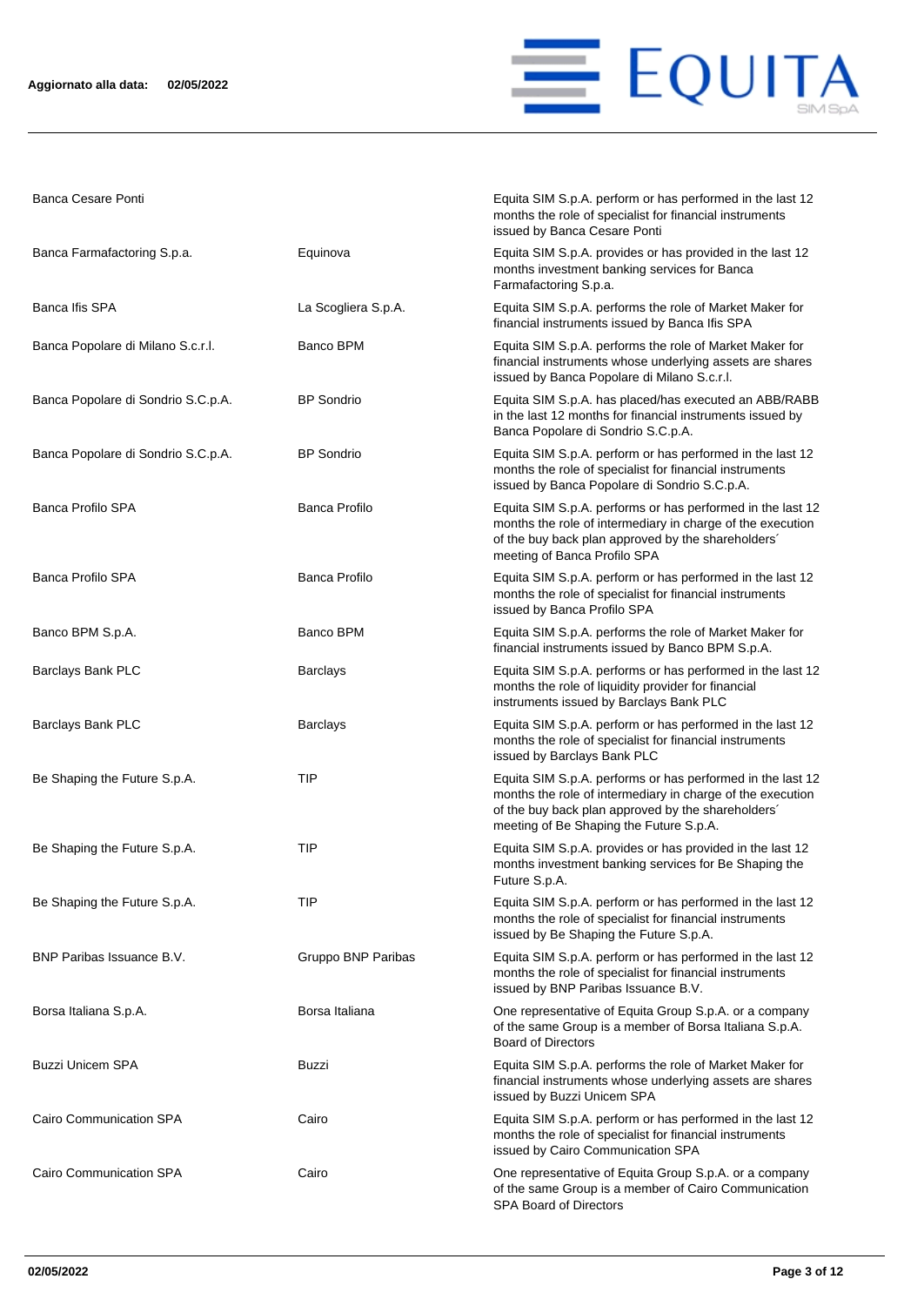

Banca Cesare Ponti **Equita SIM S.p.A. perform or has performed in the last 12** 

|                                    |                      | months the role of specialist for financial instruments<br>issued by Banca Cesare Ponti                                                                                                                                   |
|------------------------------------|----------------------|---------------------------------------------------------------------------------------------------------------------------------------------------------------------------------------------------------------------------|
| Banca Farmafactoring S.p.a.        | Equinova             | Equita SIM S.p.A. provides or has provided in the last 12<br>months investment banking services for Banca<br>Farmafactoring S.p.a.                                                                                        |
| Banca Ifis SPA                     | La Scogliera S.p.A.  | Equita SIM S.p.A. performs the role of Market Maker for<br>financial instruments issued by Banca Ifis SPA                                                                                                                 |
| Banca Popolare di Milano S.c.r.l.  | Banco BPM            | Equita SIM S.p.A. performs the role of Market Maker for<br>financial instruments whose underlying assets are shares<br>issued by Banca Popolare di Milano S.c.r.l.                                                        |
| Banca Popolare di Sondrio S.C.p.A. | <b>BP</b> Sondrio    | Equita SIM S.p.A. has placed/has executed an ABB/RABB<br>in the last 12 months for financial instruments issued by<br>Banca Popolare di Sondrio S.C.p.A.                                                                  |
| Banca Popolare di Sondrio S.C.p.A. | <b>BP</b> Sondrio    | Equita SIM S.p.A. perform or has performed in the last 12<br>months the role of specialist for financial instruments<br>issued by Banca Popolare di Sondrio S.C.p.A.                                                      |
| <b>Banca Profilo SPA</b>           | <b>Banca Profilo</b> | Equita SIM S.p.A. performs or has performed in the last 12<br>months the role of intermediary in charge of the execution<br>of the buy back plan approved by the shareholders'<br>meeting of Banca Profilo SPA            |
| <b>Banca Profilo SPA</b>           | Banca Profilo        | Equita SIM S.p.A. perform or has performed in the last 12<br>months the role of specialist for financial instruments<br>issued by Banca Profilo SPA                                                                       |
| Banco BPM S.p.A.                   | Banco BPM            | Equita SIM S.p.A. performs the role of Market Maker for<br>financial instruments issued by Banco BPM S.p.A.                                                                                                               |
| Barclays Bank PLC                  | <b>Barclays</b>      | Equita SIM S.p.A. performs or has performed in the last 12<br>months the role of liquidity provider for financial<br>instruments issued by Barclays Bank PLC                                                              |
| Barclays Bank PLC                  | <b>Barclays</b>      | Equita SIM S.p.A. perform or has performed in the last 12<br>months the role of specialist for financial instruments<br>issued by Barclays Bank PLC                                                                       |
| Be Shaping the Future S.p.A.       | TIP                  | Equita SIM S.p.A. performs or has performed in the last 12<br>months the role of intermediary in charge of the execution<br>of the buy back plan approved by the shareholders'<br>meeting of Be Shaping the Future S.p.A. |
| Be Shaping the Future S.p.A.       | TIP                  | Equita SIM S.p.A. provides or has provided in the last 12<br>months investment banking services for Be Shaping the<br>Future S.p.A.                                                                                       |
| Be Shaping the Future S.p.A.       | <b>TIP</b>           | Equita SIM S.p.A. perform or has performed in the last 12<br>months the role of specialist for financial instruments<br>issued by Be Shaping the Future S.p.A.                                                            |
| BNP Paribas Issuance B.V.          | Gruppo BNP Paribas   | Equita SIM S.p.A. perform or has performed in the last 12<br>months the role of specialist for financial instruments<br>issued by BNP Paribas Issuance B.V.                                                               |
| Borsa Italiana S.p.A.              | Borsa Italiana       | One representative of Equita Group S.p.A. or a company<br>of the same Group is a member of Borsa Italiana S.p.A.<br><b>Board of Directors</b>                                                                             |
| <b>Buzzi Unicem SPA</b>            | Buzzi                | Equita SIM S.p.A. performs the role of Market Maker for<br>financial instruments whose underlying assets are shares<br>issued by Buzzi Unicem SPA                                                                         |
| Cairo Communication SPA            | Cairo                | Equita SIM S.p.A. perform or has performed in the last 12<br>months the role of specialist for financial instruments<br>issued by Cairo Communication SPA                                                                 |
| Cairo Communication SPA            | Cairo                | One representative of Equita Group S.p.A. or a company<br>of the same Group is a member of Cairo Communication<br>SPA Board of Directors                                                                                  |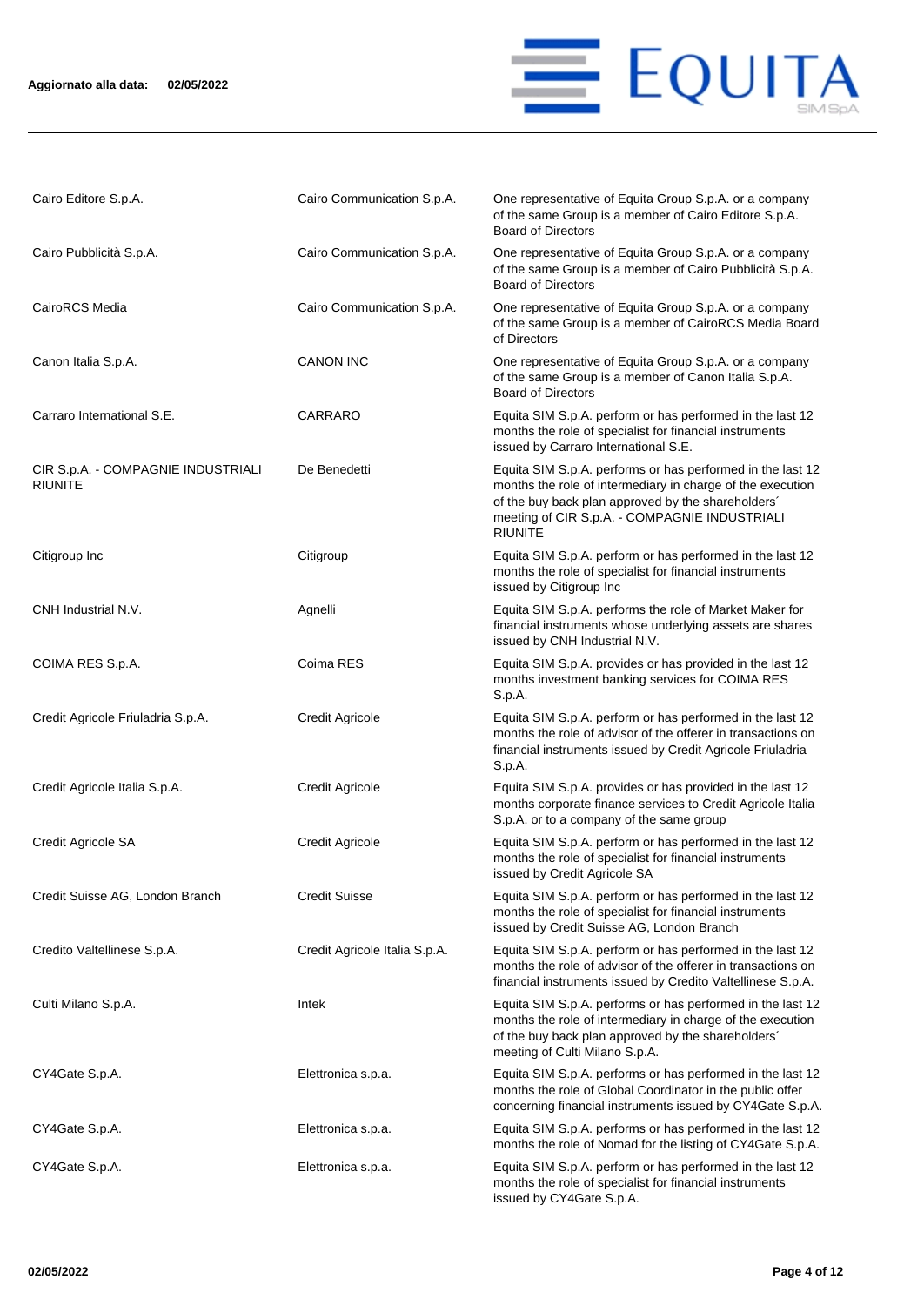### **Aggiornato alla data: 02/05/2022**



| Cairo Editore S.p.A.                                 | Cairo Communication S.p.A.    | One representative of Equita Group S.p.A. or a company<br>of the same Group is a member of Cairo Editore S.p.A.<br><b>Board of Directors</b>                                                                                                      |
|------------------------------------------------------|-------------------------------|---------------------------------------------------------------------------------------------------------------------------------------------------------------------------------------------------------------------------------------------------|
| Cairo Pubblicità S.p.A.                              | Cairo Communication S.p.A.    | One representative of Equita Group S.p.A. or a company<br>of the same Group is a member of Cairo Pubblicità S.p.A.<br><b>Board of Directors</b>                                                                                                   |
| CairoRCS Media                                       | Cairo Communication S.p.A.    | One representative of Equita Group S.p.A. or a company<br>of the same Group is a member of CairoRCS Media Board<br>of Directors                                                                                                                   |
| Canon Italia S.p.A.                                  | <b>CANON INC</b>              | One representative of Equita Group S.p.A. or a company<br>of the same Group is a member of Canon Italia S.p.A.<br><b>Board of Directors</b>                                                                                                       |
| Carraro International S.E.                           | CARRARO                       | Equita SIM S.p.A. perform or has performed in the last 12<br>months the role of specialist for financial instruments<br>issued by Carraro International S.E.                                                                                      |
| CIR S.p.A. - COMPAGNIE INDUSTRIALI<br><b>RIUNITE</b> | De Benedetti                  | Equita SIM S.p.A. performs or has performed in the last 12<br>months the role of intermediary in charge of the execution<br>of the buy back plan approved by the shareholders'<br>meeting of CIR S.p.A. - COMPAGNIE INDUSTRIALI<br><b>RIUNITE</b> |
| Citigroup Inc                                        | Citigroup                     | Equita SIM S.p.A. perform or has performed in the last 12<br>months the role of specialist for financial instruments<br>issued by Citigroup Inc                                                                                                   |
| CNH Industrial N.V.                                  | Agnelli                       | Equita SIM S.p.A. performs the role of Market Maker for<br>financial instruments whose underlying assets are shares<br>issued by CNH Industrial N.V.                                                                                              |
| COIMA RES S.p.A.                                     | Coima RES                     | Equita SIM S.p.A. provides or has provided in the last 12<br>months investment banking services for COIMA RES<br>S.p.A.                                                                                                                           |
| Credit Agricole Friuladria S.p.A.                    | <b>Credit Agricole</b>        | Equita SIM S.p.A. perform or has performed in the last 12<br>months the role of advisor of the offerer in transactions on<br>financial instruments issued by Credit Agricole Friuladria<br>S.p.A.                                                 |
| Credit Agricole Italia S.p.A.                        | <b>Credit Agricole</b>        | Equita SIM S.p.A. provides or has provided in the last 12<br>months corporate finance services to Credit Agricole Italia<br>S.p.A. or to a company of the same group                                                                              |
| Credit Agricole SA                                   | <b>Credit Agricole</b>        | Equita SIM S.p.A. perform or has performed in the last 12<br>months the role of specialist for financial instruments<br>issued by Credit Agricole SA                                                                                              |
| Credit Suisse AG, London Branch                      | <b>Credit Suisse</b>          | Equita SIM S.p.A. perform or has performed in the last 12<br>months the role of specialist for financial instruments<br>issued by Credit Suisse AG, London Branch                                                                                 |
| Credito Valtellinese S.p.A.                          | Credit Agricole Italia S.p.A. | Equita SIM S.p.A. perform or has performed in the last 12<br>months the role of advisor of the offerer in transactions on<br>financial instruments issued by Credito Valtellinese S.p.A.                                                          |
| Culti Milano S.p.A.                                  | Intek                         | Equita SIM S.p.A. performs or has performed in the last 12<br>months the role of intermediary in charge of the execution<br>of the buy back plan approved by the shareholders'<br>meeting of Culti Milano S.p.A.                                  |
| CY4Gate S.p.A.                                       | Elettronica s.p.a.            | Equita SIM S.p.A. performs or has performed in the last 12<br>months the role of Global Coordinator in the public offer<br>concerning financial instruments issued by CY4Gate S.p.A.                                                              |
| CY4Gate S.p.A.                                       | Elettronica s.p.a.            | Equita SIM S.p.A. performs or has performed in the last 12<br>months the role of Nomad for the listing of CY4Gate S.p.A.                                                                                                                          |
| CY4Gate S.p.A.                                       | Elettronica s.p.a.            | Equita SIM S.p.A. perform or has performed in the last 12<br>months the role of specialist for financial instruments<br>issued by CY4Gate S.p.A.                                                                                                  |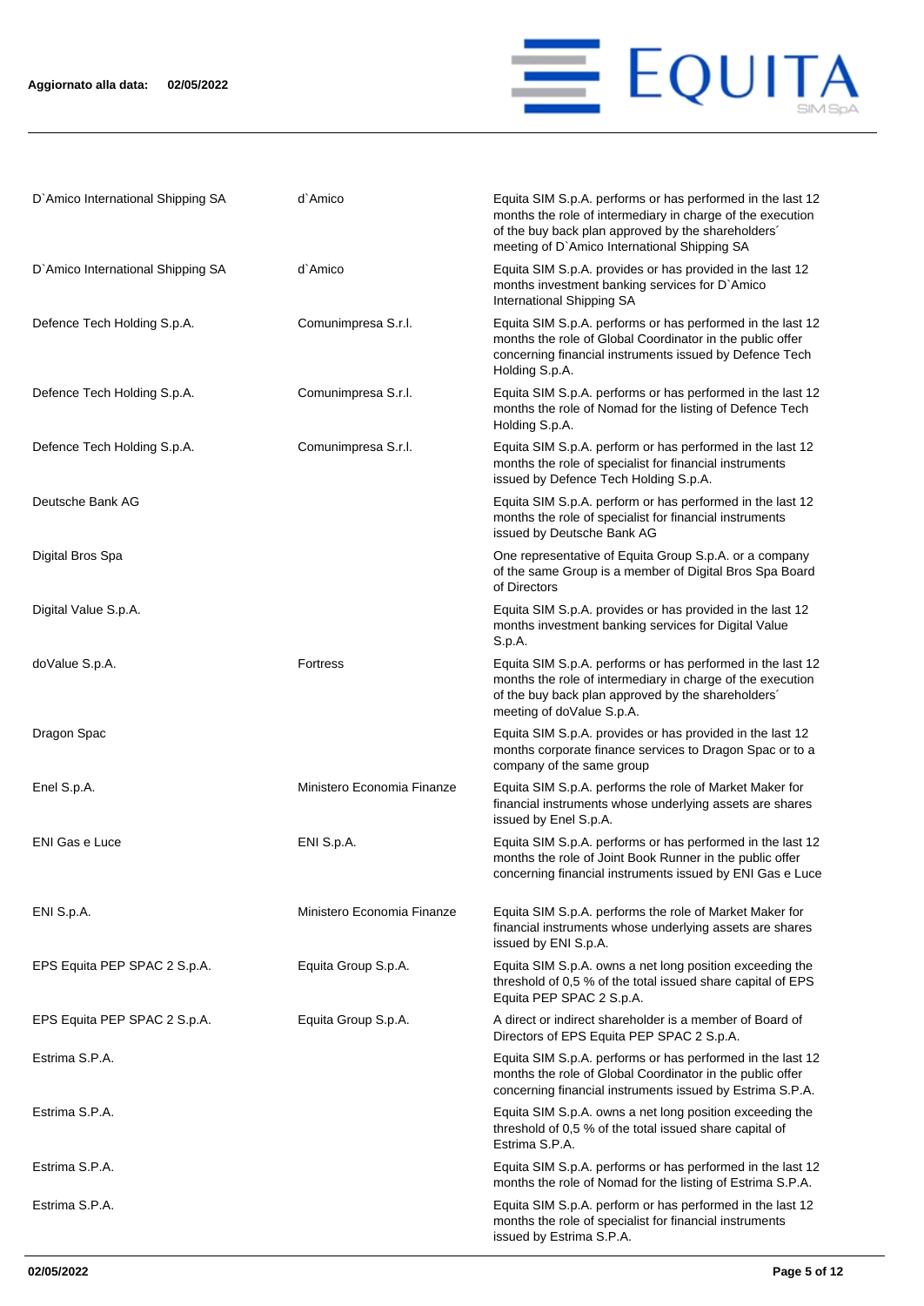

| D'Amico International Shipping SA | d`Amico                    | Equita SIM S.p.A. performs or has performed in the last 12<br>months the role of intermediary in charge of the execution<br>of the buy back plan approved by the shareholders'<br>meeting of D'Amico International Shipping SA |
|-----------------------------------|----------------------------|--------------------------------------------------------------------------------------------------------------------------------------------------------------------------------------------------------------------------------|
| D'Amico International Shipping SA | d`Amico                    | Equita SIM S.p.A. provides or has provided in the last 12<br>months investment banking services for D'Amico<br>International Shipping SA                                                                                       |
| Defence Tech Holding S.p.A.       | Comunimpresa S.r.l.        | Equita SIM S.p.A. performs or has performed in the last 12<br>months the role of Global Coordinator in the public offer<br>concerning financial instruments issued by Defence Tech<br>Holding S.p.A.                           |
| Defence Tech Holding S.p.A.       | Comunimpresa S.r.l.        | Equita SIM S.p.A. performs or has performed in the last 12<br>months the role of Nomad for the listing of Defence Tech<br>Holding S.p.A.                                                                                       |
| Defence Tech Holding S.p.A.       | Comunimpresa S.r.l.        | Equita SIM S.p.A. perform or has performed in the last 12<br>months the role of specialist for financial instruments<br>issued by Defence Tech Holding S.p.A.                                                                  |
| Deutsche Bank AG                  |                            | Equita SIM S.p.A. perform or has performed in the last 12<br>months the role of specialist for financial instruments<br>issued by Deutsche Bank AG                                                                             |
| Digital Bros Spa                  |                            | One representative of Equita Group S.p.A. or a company<br>of the same Group is a member of Digital Bros Spa Board<br>of Directors                                                                                              |
| Digital Value S.p.A.              |                            | Equita SIM S.p.A. provides or has provided in the last 12<br>months investment banking services for Digital Value<br>S.p.A.                                                                                                    |
| doValue S.p.A.                    | <b>Fortress</b>            | Equita SIM S.p.A. performs or has performed in the last 12<br>months the role of intermediary in charge of the execution<br>of the buy back plan approved by the shareholders'<br>meeting of doValue S.p.A.                    |
| Dragon Spac                       |                            | Equita SIM S.p.A. provides or has provided in the last 12<br>months corporate finance services to Dragon Spac or to a<br>company of the same group                                                                             |
| Enel S.p.A.                       | Ministero Economia Finanze | Equita SIM S.p.A. performs the role of Market Maker for<br>financial instruments whose underlying assets are shares<br>issued by Enel S.p.A.                                                                                   |
| <b>ENI Gas e Luce</b>             | ENI S.p.A.                 | Equita SIM S.p.A. performs or has performed in the last 12<br>months the role of Joint Book Runner in the public offer<br>concerning financial instruments issued by ENI Gas e Luce                                            |
| ENI S.p.A.                        | Ministero Economia Finanze | Equita SIM S.p.A. performs the role of Market Maker for<br>financial instruments whose underlying assets are shares<br>issued by ENI S.p.A.                                                                                    |
| EPS Equita PEP SPAC 2 S.p.A.      | Equita Group S.p.A.        | Equita SIM S.p.A. owns a net long position exceeding the<br>threshold of 0,5 % of the total issued share capital of EPS<br>Equita PEP SPAC 2 S.p.A.                                                                            |
| EPS Equita PEP SPAC 2 S.p.A.      | Equita Group S.p.A.        | A direct or indirect shareholder is a member of Board of<br>Directors of EPS Equita PEP SPAC 2 S.p.A.                                                                                                                          |
| Estrima S.P.A.                    |                            | Equita SIM S.p.A. performs or has performed in the last 12<br>months the role of Global Coordinator in the public offer<br>concerning financial instruments issued by Estrima S.P.A.                                           |
| Estrima S.P.A.                    |                            | Equita SIM S.p.A. owns a net long position exceeding the<br>threshold of 0,5 % of the total issued share capital of<br>Estrima S.P.A.                                                                                          |
| Estrima S.P.A.                    |                            | Equita SIM S.p.A. performs or has performed in the last 12<br>months the role of Nomad for the listing of Estrima S.P.A.                                                                                                       |
| Estrima S.P.A.                    |                            | Equita SIM S.p.A. perform or has performed in the last 12<br>months the role of specialist for financial instruments<br>issued by Estrima S.P.A.                                                                               |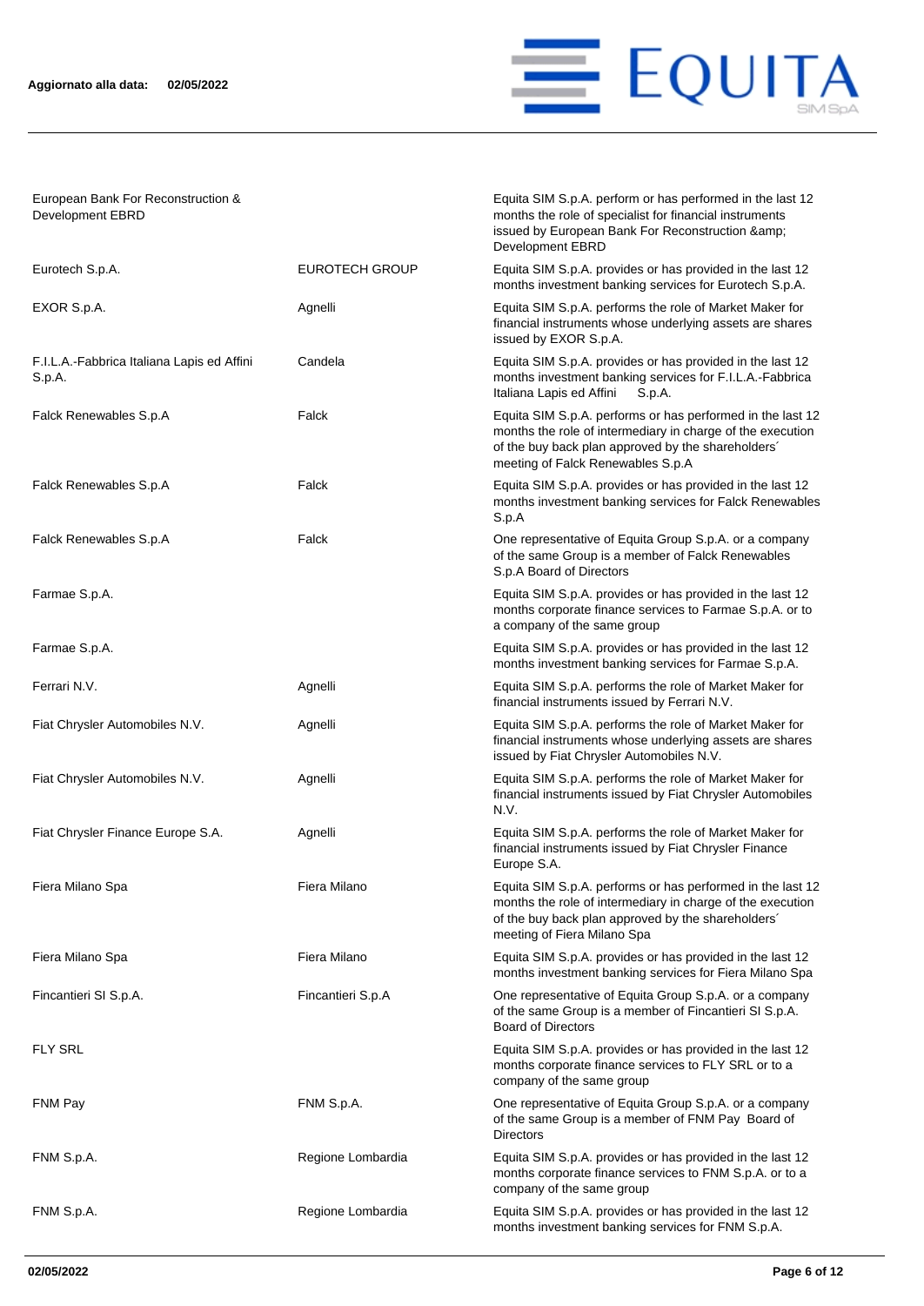

Equita SIM S.p.A. perform or has performed in the last 12 months the role of specialist for financial instruments issued by European Bank For Reconstruction &

European Bank For Reconstruction & Development EBRD

|                                                      |                       | Development EBRD                                                                                                                                                                                                    |
|------------------------------------------------------|-----------------------|---------------------------------------------------------------------------------------------------------------------------------------------------------------------------------------------------------------------|
| Eurotech S.p.A.                                      | <b>EUROTECH GROUP</b> | Equita SIM S.p.A. provides or has provided in the last 12<br>months investment banking services for Eurotech S.p.A.                                                                                                 |
| EXOR S.p.A.                                          | Agnelli               | Equita SIM S.p.A. performs the role of Market Maker for<br>financial instruments whose underlying assets are shares<br>issued by EXOR S.p.A.                                                                        |
| F.I.L.A.-Fabbrica Italiana Lapis ed Affini<br>S.p.A. | Candela               | Equita SIM S.p.A. provides or has provided in the last 12<br>months investment banking services for F.I.L.A.-Fabbrica<br>Italiana Lapis ed Affini<br>S.p.A.                                                         |
| Falck Renewables S.p.A                               | Falck                 | Equita SIM S.p.A. performs or has performed in the last 12<br>months the role of intermediary in charge of the execution<br>of the buy back plan approved by the shareholders'<br>meeting of Falck Renewables S.p.A |
| Falck Renewables S.p.A                               | Falck                 | Equita SIM S.p.A. provides or has provided in the last 12<br>months investment banking services for Falck Renewables<br>S.p.A                                                                                       |
| Falck Renewables S.p.A                               | Falck                 | One representative of Equita Group S.p.A. or a company<br>of the same Group is a member of Falck Renewables<br>S.p.A Board of Directors                                                                             |
| Farmae S.p.A.                                        |                       | Equita SIM S.p.A. provides or has provided in the last 12<br>months corporate finance services to Farmae S.p.A. or to<br>a company of the same group                                                                |
| Farmae S.p.A.                                        |                       | Equita SIM S.p.A. provides or has provided in the last 12<br>months investment banking services for Farmae S.p.A.                                                                                                   |
| Ferrari N.V.                                         | Agnelli               | Equita SIM S.p.A. performs the role of Market Maker for<br>financial instruments issued by Ferrari N.V.                                                                                                             |
| Fiat Chrysler Automobiles N.V.                       | Agnelli               | Equita SIM S.p.A. performs the role of Market Maker for<br>financial instruments whose underlying assets are shares<br>issued by Fiat Chrysler Automobiles N.V.                                                     |
| Fiat Chrysler Automobiles N.V.                       | Agnelli               | Equita SIM S.p.A. performs the role of Market Maker for<br>financial instruments issued by Fiat Chrysler Automobiles<br>N.V.                                                                                        |
| Fiat Chrysler Finance Europe S.A.                    | Agnelli               | Equita SIM S.p.A. performs the role of Market Maker for<br>financial instruments issued by Fiat Chrysler Finance<br>Europe S.A.                                                                                     |
| Fiera Milano Spa                                     | Fiera Milano          | Equita SIM S.p.A. performs or has performed in the last 12<br>months the role of intermediary in charge of the execution<br>of the buy back plan approved by the shareholders'<br>meeting of Fiera Milano Spa       |
| Fiera Milano Spa                                     | Fiera Milano          | Equita SIM S.p.A. provides or has provided in the last 12<br>months investment banking services for Fiera Milano Spa                                                                                                |
| Fincantieri SI S.p.A.                                | Fincantieri S.p.A     | One representative of Equita Group S.p.A. or a company<br>of the same Group is a member of Fincantieri SI S.p.A.<br><b>Board of Directors</b>                                                                       |
| <b>FLY SRL</b>                                       |                       | Equita SIM S.p.A. provides or has provided in the last 12<br>months corporate finance services to FLY SRL or to a<br>company of the same group                                                                      |
| FNM Pay                                              | FNM S.p.A.            | One representative of Equita Group S.p.A. or a company<br>of the same Group is a member of FNM Pay Board of<br><b>Directors</b>                                                                                     |
| FNM S.p.A.                                           | Regione Lombardia     | Equita SIM S.p.A. provides or has provided in the last 12<br>months corporate finance services to FNM S.p.A. or to a<br>company of the same group                                                                   |
| FNM S.p.A.                                           | Regione Lombardia     | Equita SIM S.p.A. provides or has provided in the last 12<br>months investment banking services for FNM S.p.A.                                                                                                      |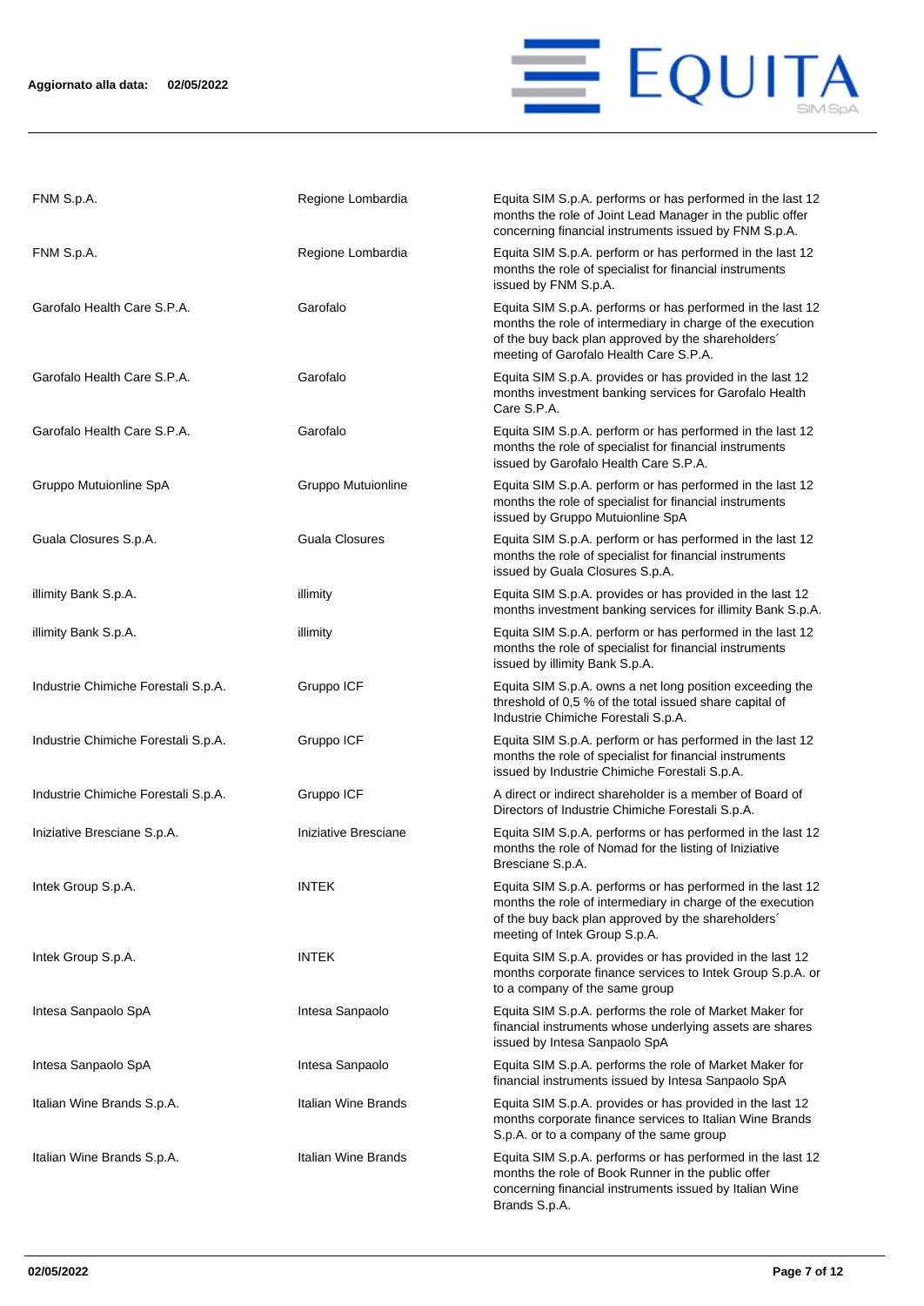

| FNM S.p.A.                          | Regione Lombardia     | Equita SIM S.p.A. performs or has performed in the last 12<br>months the role of Joint Lead Manager in the public offer<br>concerning financial instruments issued by FNM S.p.A.                                         |
|-------------------------------------|-----------------------|--------------------------------------------------------------------------------------------------------------------------------------------------------------------------------------------------------------------------|
| FNM S.p.A.                          | Regione Lombardia     | Equita SIM S.p.A. perform or has performed in the last 12<br>months the role of specialist for financial instruments<br>issued by FNM S.p.A.                                                                             |
| Garofalo Health Care S.P.A.         | Garofalo              | Equita SIM S.p.A. performs or has performed in the last 12<br>months the role of intermediary in charge of the execution<br>of the buy back plan approved by the shareholders'<br>meeting of Garofalo Health Care S.P.A. |
| Garofalo Health Care S.P.A.         | Garofalo              | Equita SIM S.p.A. provides or has provided in the last 12<br>months investment banking services for Garofalo Health<br>Care S.P.A.                                                                                       |
| Garofalo Health Care S.P.A.         | Garofalo              | Equita SIM S.p.A. perform or has performed in the last 12<br>months the role of specialist for financial instruments<br>issued by Garofalo Health Care S.P.A.                                                            |
| Gruppo Mutuionline SpA              | Gruppo Mutuionline    | Equita SIM S.p.A. perform or has performed in the last 12<br>months the role of specialist for financial instruments<br>issued by Gruppo Mutuionline SpA                                                                 |
| Guala Closures S.p.A.               | <b>Guala Closures</b> | Equita SIM S.p.A. perform or has performed in the last 12<br>months the role of specialist for financial instruments<br>issued by Guala Closures S.p.A.                                                                  |
| illimity Bank S.p.A.                | illimity              | Equita SIM S.p.A. provides or has provided in the last 12<br>months investment banking services for illimity Bank S.p.A.                                                                                                 |
| illimity Bank S.p.A.                | illimity              | Equita SIM S.p.A. perform or has performed in the last 12<br>months the role of specialist for financial instruments<br>issued by illimity Bank S.p.A.                                                                   |
| Industrie Chimiche Forestali S.p.A. | Gruppo ICF            | Equita SIM S.p.A. owns a net long position exceeding the<br>threshold of 0,5 % of the total issued share capital of<br>Industrie Chimiche Forestali S.p.A.                                                               |
| Industrie Chimiche Forestali S.p.A. | Gruppo ICF            | Equita SIM S.p.A. perform or has performed in the last 12<br>months the role of specialist for financial instruments<br>issued by Industrie Chimiche Forestali S.p.A.                                                    |
| Industrie Chimiche Forestali S.p.A. | Gruppo ICF            | A direct or indirect shareholder is a member of Board of<br>Directors of Industrie Chimiche Forestali S.p.A.                                                                                                             |
| Iniziative Bresciane S.p.A.         | Iniziative Bresciane  | Equita SIM S.p.A. performs or has performed in the last 12<br>months the role of Nomad for the listing of Iniziative<br>Bresciane S.p.A.                                                                                 |
| Intek Group S.p.A.                  | <b>INTEK</b>          | Equita SIM S.p.A. performs or has performed in the last 12<br>months the role of intermediary in charge of the execution<br>of the buy back plan approved by the shareholders'<br>meeting of Intek Group S.p.A.          |
| Intek Group S.p.A.                  | <b>INTEK</b>          | Equita SIM S.p.A. provides or has provided in the last 12<br>months corporate finance services to Intek Group S.p.A. or<br>to a company of the same group                                                                |
| Intesa Sanpaolo SpA                 | Intesa Sanpaolo       | Equita SIM S.p.A. performs the role of Market Maker for<br>financial instruments whose underlying assets are shares<br>issued by Intesa Sanpaolo SpA                                                                     |
| Intesa Sanpaolo SpA                 | Intesa Sanpaolo       | Equita SIM S.p.A. performs the role of Market Maker for<br>financial instruments issued by Intesa Sanpaolo SpA                                                                                                           |
| Italian Wine Brands S.p.A.          | Italian Wine Brands   | Equita SIM S.p.A. provides or has provided in the last 12<br>months corporate finance services to Italian Wine Brands<br>S.p.A. or to a company of the same group                                                        |
| Italian Wine Brands S.p.A.          | Italian Wine Brands   | Equita SIM S.p.A. performs or has performed in the last 12<br>months the role of Book Runner in the public offer<br>concerning financial instruments issued by Italian Wine<br>Brands S.p.A.                             |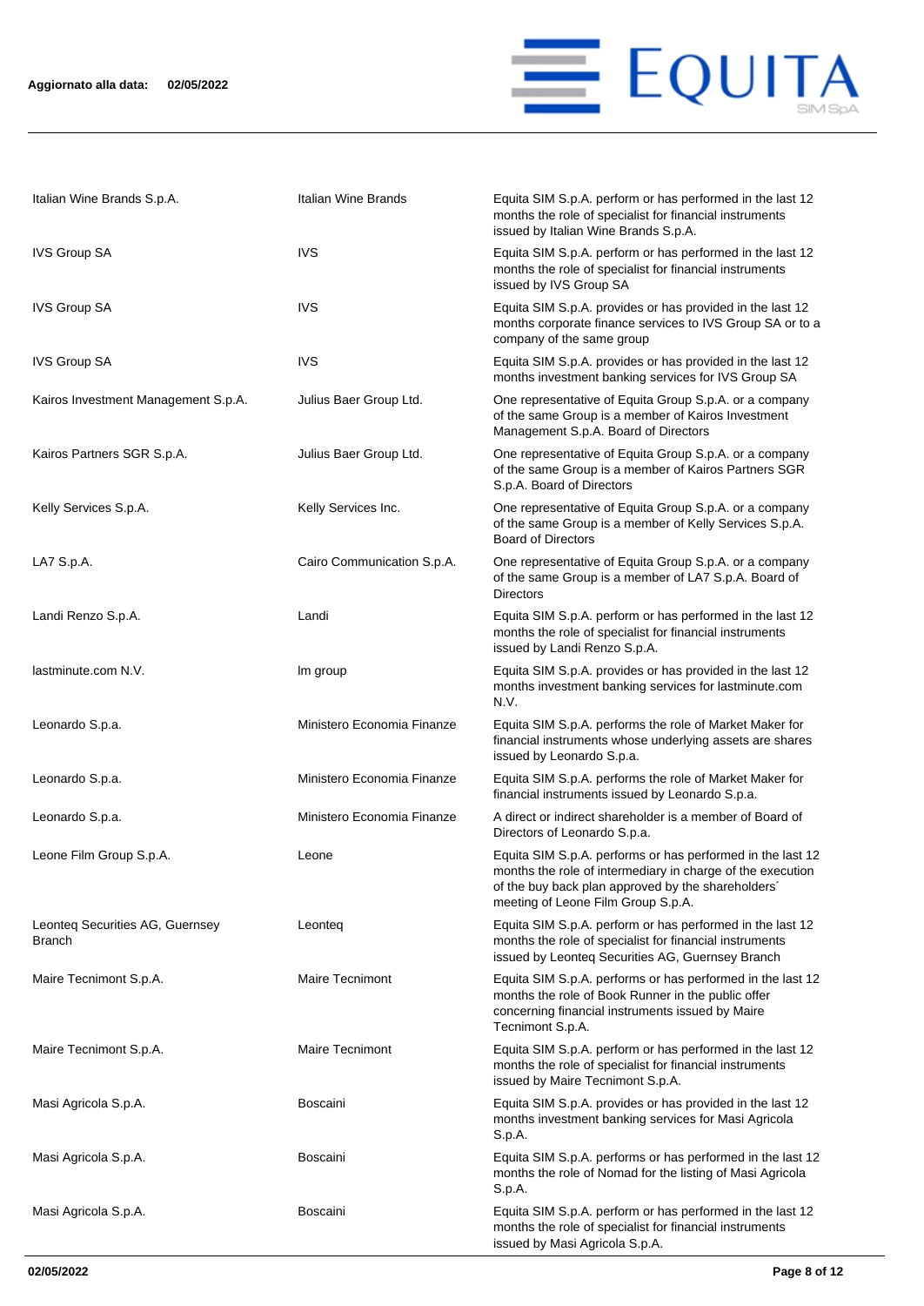

| Italian Wine Brands S.p.A.                | Italian Wine Brands        | Equita SIM S.p.A. perform or has performed in the last 12<br>months the role of specialist for financial instruments<br>issued by Italian Wine Brands S.p.A.                                                         |
|-------------------------------------------|----------------------------|----------------------------------------------------------------------------------------------------------------------------------------------------------------------------------------------------------------------|
| <b>IVS Group SA</b>                       | <b>IVS</b>                 | Equita SIM S.p.A. perform or has performed in the last 12<br>months the role of specialist for financial instruments<br>issued by IVS Group SA                                                                       |
| <b>IVS Group SA</b>                       | <b>IVS</b>                 | Equita SIM S.p.A. provides or has provided in the last 12<br>months corporate finance services to IVS Group SA or to a<br>company of the same group                                                                  |
| <b>IVS Group SA</b>                       | <b>IVS</b>                 | Equita SIM S.p.A. provides or has provided in the last 12<br>months investment banking services for IVS Group SA                                                                                                     |
| Kairos Investment Management S.p.A.       | Julius Baer Group Ltd.     | One representative of Equita Group S.p.A. or a company<br>of the same Group is a member of Kairos Investment<br>Management S.p.A. Board of Directors                                                                 |
| Kairos Partners SGR S.p.A.                | Julius Baer Group Ltd.     | One representative of Equita Group S.p.A. or a company<br>of the same Group is a member of Kairos Partners SGR<br>S.p.A. Board of Directors                                                                          |
| Kelly Services S.p.A.                     | Kelly Services Inc.        | One representative of Equita Group S.p.A. or a company<br>of the same Group is a member of Kelly Services S.p.A.<br><b>Board of Directors</b>                                                                        |
| LA7 S.p.A.                                | Cairo Communication S.p.A. | One representative of Equita Group S.p.A. or a company<br>of the same Group is a member of LA7 S.p.A. Board of<br><b>Directors</b>                                                                                   |
| Landi Renzo S.p.A.                        | Landi                      | Equita SIM S.p.A. perform or has performed in the last 12<br>months the role of specialist for financial instruments<br>issued by Landi Renzo S.p.A.                                                                 |
| lastminute.com N.V.                       | Im group                   | Equita SIM S.p.A. provides or has provided in the last 12<br>months investment banking services for lastminute.com<br>N.V.                                                                                           |
| Leonardo S.p.a.                           | Ministero Economia Finanze | Equita SIM S.p.A. performs the role of Market Maker for<br>financial instruments whose underlying assets are shares<br>issued by Leonardo S.p.a.                                                                     |
| Leonardo S.p.a.                           | Ministero Economia Finanze | Equita SIM S.p.A. performs the role of Market Maker for<br>financial instruments issued by Leonardo S.p.a.                                                                                                           |
| Leonardo S.p.a.                           | Ministero Economia Finanze | A direct or indirect shareholder is a member of Board of<br>Directors of Leonardo S.p.a.                                                                                                                             |
| Leone Film Group S.p.A.                   | Leone                      | Equita SIM S.p.A. performs or has performed in the last 12<br>months the role of intermediary in charge of the execution<br>of the buy back plan approved by the shareholders'<br>meeting of Leone Film Group S.p.A. |
| Leonteg Securities AG, Guernsey<br>Branch | Leonteq                    | Equita SIM S.p.A. perform or has performed in the last 12<br>months the role of specialist for financial instruments<br>issued by Leonteq Securities AG, Guernsey Branch                                             |
| Maire Tecnimont S.p.A.                    | <b>Maire Tecnimont</b>     | Equita SIM S.p.A. performs or has performed in the last 12<br>months the role of Book Runner in the public offer<br>concerning financial instruments issued by Maire<br>Tecnimont S.p.A.                             |
| Maire Tecnimont S.p.A.                    | <b>Maire Tecnimont</b>     | Equita SIM S.p.A. perform or has performed in the last 12<br>months the role of specialist for financial instruments<br>issued by Maire Tecnimont S.p.A.                                                             |
| Masi Agricola S.p.A.                      | <b>Boscaini</b>            | Equita SIM S.p.A. provides or has provided in the last 12<br>months investment banking services for Masi Agricola<br>S.p.A.                                                                                          |
| Masi Agricola S.p.A.                      | <b>Boscaini</b>            | Equita SIM S.p.A. performs or has performed in the last 12<br>months the role of Nomad for the listing of Masi Agricola<br>S.p.A.                                                                                    |
| Masi Agricola S.p.A.                      | Boscaini                   | Equita SIM S.p.A. perform or has performed in the last 12<br>months the role of specialist for financial instruments<br>issued by Masi Agricola S.p.A.                                                               |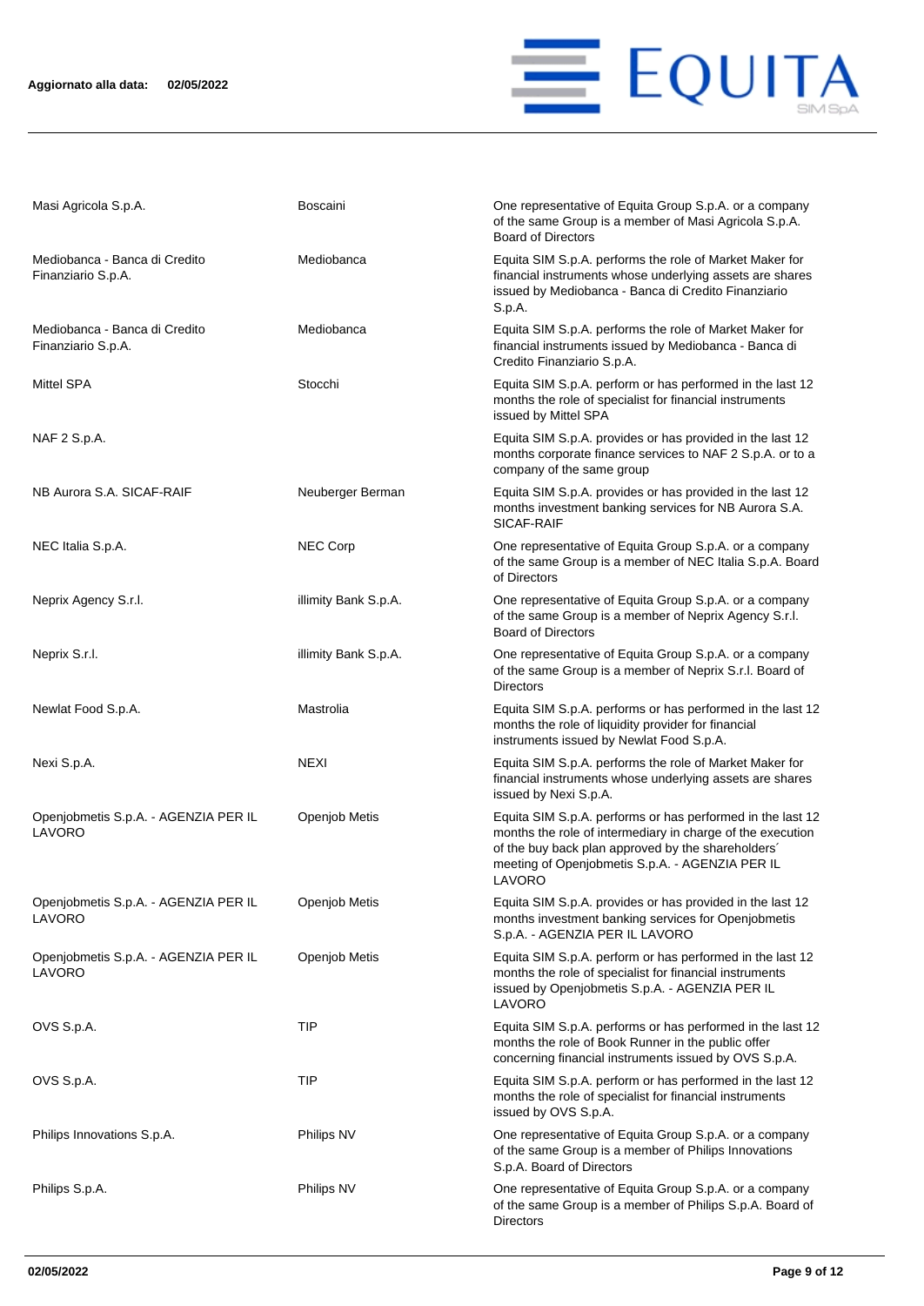

| Masi Agricola S.p.A.                                | <b>Boscaini</b>      | One representative of Equita Group S.p.A. or a company<br>of the same Group is a member of Masi Agricola S.p.A.<br><b>Board of Directors</b>                                                                                                |
|-----------------------------------------------------|----------------------|---------------------------------------------------------------------------------------------------------------------------------------------------------------------------------------------------------------------------------------------|
| Mediobanca - Banca di Credito<br>Finanziario S.p.A. | Mediobanca           | Equita SIM S.p.A. performs the role of Market Maker for<br>financial instruments whose underlying assets are shares<br>issued by Mediobanca - Banca di Credito Finanziario<br>S.p.A.                                                        |
| Mediobanca - Banca di Credito<br>Finanziario S.p.A. | Mediobanca           | Equita SIM S.p.A. performs the role of Market Maker for<br>financial instruments issued by Mediobanca - Banca di<br>Credito Finanziario S.p.A.                                                                                              |
| Mittel SPA                                          | Stocchi              | Equita SIM S.p.A. perform or has performed in the last 12<br>months the role of specialist for financial instruments<br>issued by Mittel SPA                                                                                                |
| NAF 2 S.p.A.                                        |                      | Equita SIM S.p.A. provides or has provided in the last 12<br>months corporate finance services to NAF 2 S.p.A. or to a<br>company of the same group                                                                                         |
| NB Aurora S.A. SICAF-RAIF                           | Neuberger Berman     | Equita SIM S.p.A. provides or has provided in the last 12<br>months investment banking services for NB Aurora S.A.<br>SICAF-RAIF                                                                                                            |
| NEC Italia S.p.A.                                   | <b>NEC Corp</b>      | One representative of Equita Group S.p.A. or a company<br>of the same Group is a member of NEC Italia S.p.A. Board<br>of Directors                                                                                                          |
| Neprix Agency S.r.l.                                | illimity Bank S.p.A. | One representative of Equita Group S.p.A. or a company<br>of the same Group is a member of Neprix Agency S.r.l.<br><b>Board of Directors</b>                                                                                                |
| Neprix S.r.l.                                       | illimity Bank S.p.A. | One representative of Equita Group S.p.A. or a company<br>of the same Group is a member of Neprix S.r.l. Board of<br><b>Directors</b>                                                                                                       |
| Newlat Food S.p.A.                                  | Mastrolia            | Equita SIM S.p.A. performs or has performed in the last 12<br>months the role of liquidity provider for financial<br>instruments issued by Newlat Food S.p.A.                                                                               |
| Nexi S.p.A.                                         | <b>NEXI</b>          | Equita SIM S.p.A. performs the role of Market Maker for<br>financial instruments whose underlying assets are shares<br>issued by Nexi S.p.A.                                                                                                |
| Openjobmetis S.p.A. - AGENZIA PER IL<br>LAVORO      | Openjob Metis        | Equita SIM S.p.A. performs or has performed in the last 12<br>months the role of intermediary in charge of the execution<br>of the buy back plan approved by the shareholders'<br>meeting of Openjobmetis S.p.A. - AGENZIA PER IL<br>LAVORO |
| Openjobmetis S.p.A. - AGENZIA PER IL<br>LAVORO      | Openjob Metis        | Equita SIM S.p.A. provides or has provided in the last 12<br>months investment banking services for Openjobmetis<br>S.p.A. - AGENZIA PER IL LAVORO                                                                                          |
| Openjobmetis S.p.A. - AGENZIA PER IL<br>LAVORO      | Openjob Metis        | Equita SIM S.p.A. perform or has performed in the last 12<br>months the role of specialist for financial instruments<br>issued by Openjobmetis S.p.A. - AGENZIA PER IL<br>LAVORO                                                            |
| OVS S.p.A.                                          | TIP                  | Equita SIM S.p.A. performs or has performed in the last 12<br>months the role of Book Runner in the public offer<br>concerning financial instruments issued by OVS S.p.A.                                                                   |
| OVS S.p.A.                                          | TIP                  | Equita SIM S.p.A. perform or has performed in the last 12<br>months the role of specialist for financial instruments<br>issued by OVS S.p.A.                                                                                                |
| Philips Innovations S.p.A.                          | Philips NV           | One representative of Equita Group S.p.A. or a company<br>of the same Group is a member of Philips Innovations<br>S.p.A. Board of Directors                                                                                                 |
| Philips S.p.A.                                      | Philips NV           | One representative of Equita Group S.p.A. or a company<br>of the same Group is a member of Philips S.p.A. Board of<br><b>Directors</b>                                                                                                      |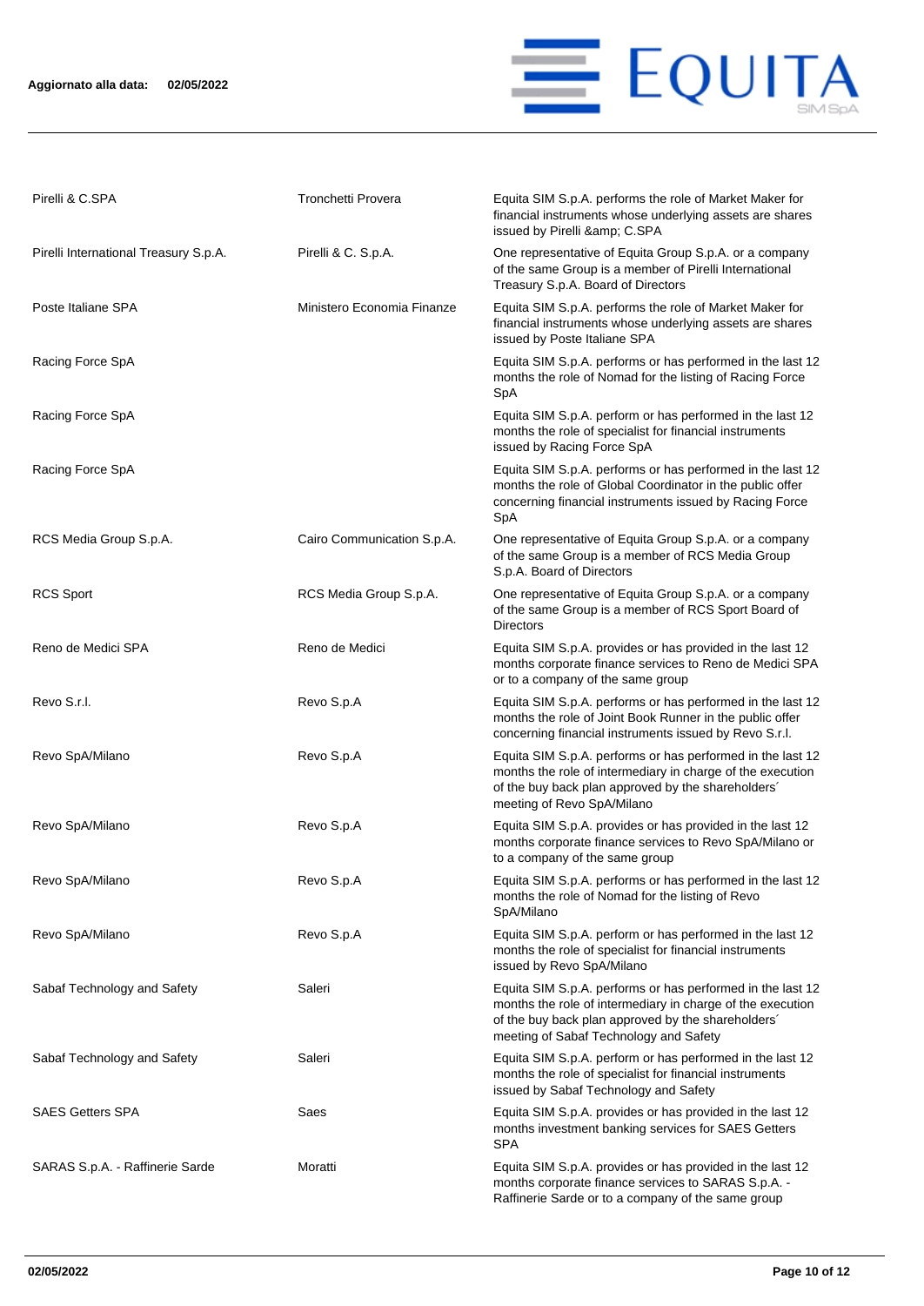### **Aggiornato alla data: 02/05/2022**



| Pirelli & C.SPA                       | Tronchetti Provera         | Equita SIM S.p.A. performs the role of Market Maker for<br>financial instruments whose underlying assets are shares<br>issued by Pirelli & C.SPA                                                                         |
|---------------------------------------|----------------------------|--------------------------------------------------------------------------------------------------------------------------------------------------------------------------------------------------------------------------|
| Pirelli International Treasury S.p.A. | Pirelli & C. S.p.A.        | One representative of Equita Group S.p.A. or a company<br>of the same Group is a member of Pirelli International<br>Treasury S.p.A. Board of Directors                                                                   |
| Poste Italiane SPA                    | Ministero Economia Finanze | Equita SIM S.p.A. performs the role of Market Maker for<br>financial instruments whose underlying assets are shares<br>issued by Poste Italiane SPA                                                                      |
| Racing Force SpA                      |                            | Equita SIM S.p.A. performs or has performed in the last 12<br>months the role of Nomad for the listing of Racing Force<br>SpA                                                                                            |
| Racing Force SpA                      |                            | Equita SIM S.p.A. perform or has performed in the last 12<br>months the role of specialist for financial instruments<br>issued by Racing Force SpA                                                                       |
| Racing Force SpA                      |                            | Equita SIM S.p.A. performs or has performed in the last 12<br>months the role of Global Coordinator in the public offer<br>concerning financial instruments issued by Racing Force<br>SpA                                |
| RCS Media Group S.p.A.                | Cairo Communication S.p.A. | One representative of Equita Group S.p.A. or a company<br>of the same Group is a member of RCS Media Group<br>S.p.A. Board of Directors                                                                                  |
| <b>RCS Sport</b>                      | RCS Media Group S.p.A.     | One representative of Equita Group S.p.A. or a company<br>of the same Group is a member of RCS Sport Board of<br><b>Directors</b>                                                                                        |
| Reno de Medici SPA                    | Reno de Medici             | Equita SIM S.p.A. provides or has provided in the last 12<br>months corporate finance services to Reno de Medici SPA<br>or to a company of the same group                                                                |
| Revo S.r.l.                           | Revo S.p.A                 | Equita SIM S.p.A. performs or has performed in the last 12<br>months the role of Joint Book Runner in the public offer<br>concerning financial instruments issued by Revo S.r.l.                                         |
| Revo SpA/Milano                       | Revo S.p.A                 | Equita SIM S.p.A. performs or has performed in the last 12<br>months the role of intermediary in charge of the execution<br>of the buy back plan approved by the shareholders'<br>meeting of Revo SpA/Milano             |
| Revo SpA/Milano                       | Revo S.p.A                 | Equita SIM S.p.A. provides or has provided in the last 12<br>months corporate finance services to Revo SpA/Milano or<br>to a company of the same group                                                                   |
| Revo SpA/Milano                       | Revo S.p.A                 | Equita SIM S.p.A. performs or has performed in the last 12<br>months the role of Nomad for the listing of Revo<br>SpA/Milano                                                                                             |
| Revo SpA/Milano                       | Revo S.p.A                 | Equita SIM S.p.A. perform or has performed in the last 12<br>months the role of specialist for financial instruments<br>issued by Revo SpA/Milano                                                                        |
| Sabaf Technology and Safety           | Saleri                     | Equita SIM S.p.A. performs or has performed in the last 12<br>months the role of intermediary in charge of the execution<br>of the buy back plan approved by the shareholders'<br>meeting of Sabaf Technology and Safety |
| Sabaf Technology and Safety           | Saleri                     | Equita SIM S.p.A. perform or has performed in the last 12<br>months the role of specialist for financial instruments<br>issued by Sabaf Technology and Safety                                                            |
| <b>SAES Getters SPA</b>               | Saes                       | Equita SIM S.p.A. provides or has provided in the last 12<br>months investment banking services for SAES Getters<br><b>SPA</b>                                                                                           |
| SARAS S.p.A. - Raffinerie Sarde       | Moratti                    | Equita SIM S.p.A. provides or has provided in the last 12<br>months corporate finance services to SARAS S.p.A. -<br>Raffinerie Sarde or to a company of the same group                                                   |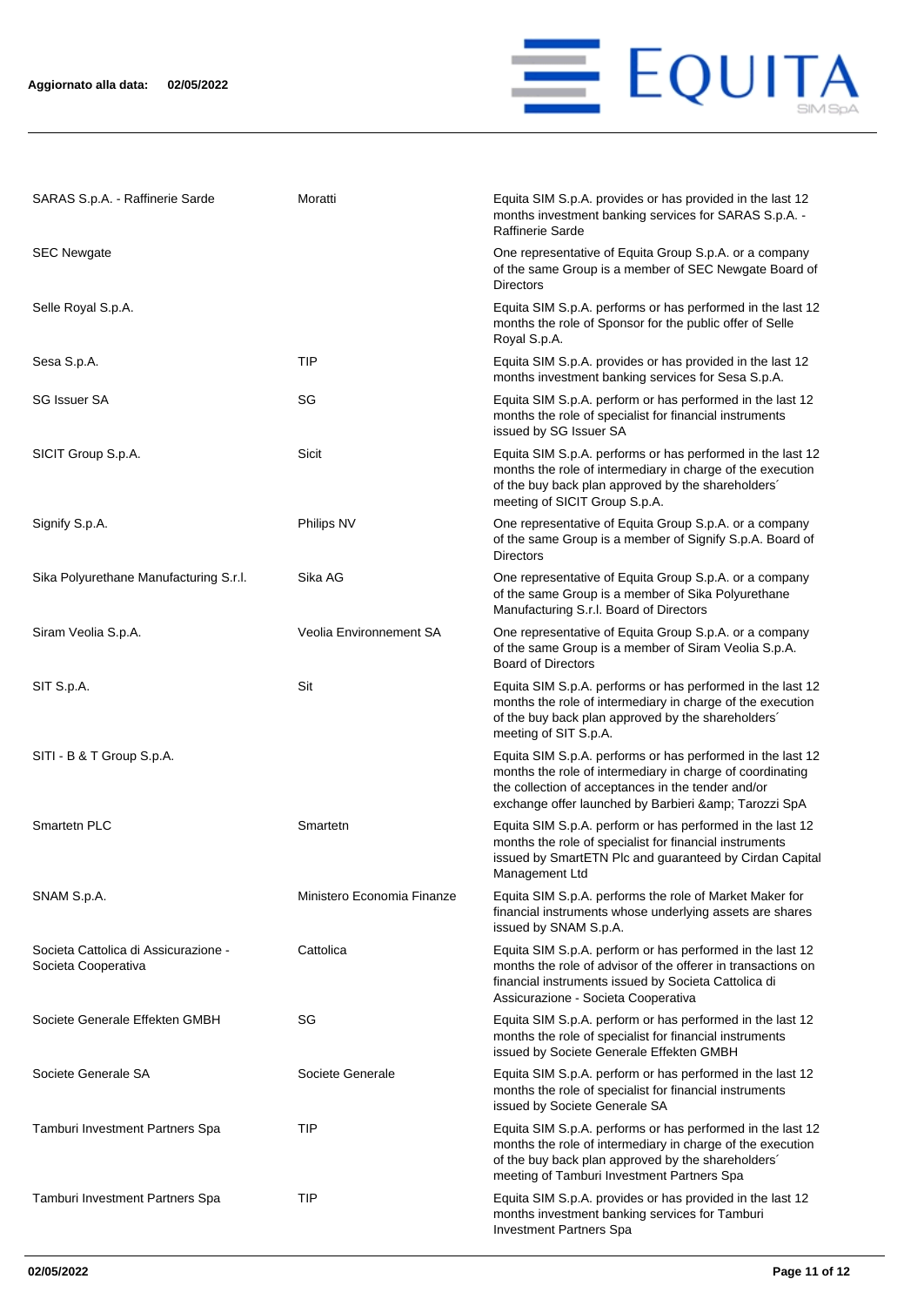

| SARAS S.p.A. - Raffinerie Sarde                             | Moratti                    | Equita SIM S.p.A. provides or has provided in the last 12<br>months investment banking services for SARAS S.p.A.<br>Raffinerie Sarde                                                                                                    |
|-------------------------------------------------------------|----------------------------|-----------------------------------------------------------------------------------------------------------------------------------------------------------------------------------------------------------------------------------------|
| <b>SEC Newgate</b>                                          |                            | One representative of Equita Group S.p.A. or a company<br>of the same Group is a member of SEC Newgate Board of<br><b>Directors</b>                                                                                                     |
| Selle Royal S.p.A.                                          |                            | Equita SIM S.p.A. performs or has performed in the last 12<br>months the role of Sponsor for the public offer of Selle<br>Royal S.p.A.                                                                                                  |
| Sesa S.p.A.                                                 | TIP                        | Equita SIM S.p.A. provides or has provided in the last 12<br>months investment banking services for Sesa S.p.A.                                                                                                                         |
| <b>SG Issuer SA</b>                                         | SG                         | Equita SIM S.p.A. perform or has performed in the last 12<br>months the role of specialist for financial instruments<br>issued by SG Issuer SA                                                                                          |
| SICIT Group S.p.A.                                          | Sicit                      | Equita SIM S.p.A. performs or has performed in the last 12<br>months the role of intermediary in charge of the execution<br>of the buy back plan approved by the shareholders'<br>meeting of SICIT Group S.p.A.                         |
| Signify S.p.A.                                              | Philips NV                 | One representative of Equita Group S.p.A. or a company<br>of the same Group is a member of Signify S.p.A. Board of<br><b>Directors</b>                                                                                                  |
| Sika Polyurethane Manufacturing S.r.l.                      | Sika AG                    | One representative of Equita Group S.p.A. or a company<br>of the same Group is a member of Sika Polyurethane<br>Manufacturing S.r.l. Board of Directors                                                                                 |
| Siram Veolia S.p.A.                                         | Veolia Environnement SA    | One representative of Equita Group S.p.A. or a company<br>of the same Group is a member of Siram Veolia S.p.A.<br><b>Board of Directors</b>                                                                                             |
| SIT S.p.A.                                                  | Sit                        | Equita SIM S.p.A. performs or has performed in the last 12<br>months the role of intermediary in charge of the execution<br>of the buy back plan approved by the shareholders'<br>meeting of SIT S.p.A.                                 |
| SITI - B & T Group S.p.A.                                   |                            | Equita SIM S.p.A. performs or has performed in the last 12<br>months the role of intermediary in charge of coordinating<br>the collection of acceptances in the tender and/or<br>exchange offer launched by Barbieri & amp; Tarozzi SpA |
| Smartetn PLC                                                | Smartetn                   | Equita SIM S.p.A. perform or has performed in the last 12<br>months the role of specialist for financial instruments<br>issued by SmartETN Plc and guaranteed by Cirdan Capital<br>Management Ltd                                       |
| SNAM S.p.A.                                                 | Ministero Economia Finanze | Equita SIM S.p.A. performs the role of Market Maker for<br>financial instruments whose underlying assets are shares<br>issued by SNAM S.p.A.                                                                                            |
| Societa Cattolica di Assicurazione -<br>Societa Cooperativa | Cattolica                  | Equita SIM S.p.A. perform or has performed in the last 12<br>months the role of advisor of the offerer in transactions on<br>financial instruments issued by Societa Cattolica di<br>Assicurazione - Societa Cooperativa                |
| Societe Generale Effekten GMBH                              | SG                         | Equita SIM S.p.A. perform or has performed in the last 12<br>months the role of specialist for financial instruments<br>issued by Societe Generale Effekten GMBH                                                                        |
| Societe Generale SA                                         | Societe Generale           | Equita SIM S.p.A. perform or has performed in the last 12<br>months the role of specialist for financial instruments<br>issued by Societe Generale SA                                                                                   |
| Tamburi Investment Partners Spa                             | <b>TIP</b>                 | Equita SIM S.p.A. performs or has performed in the last 12<br>months the role of intermediary in charge of the execution<br>of the buy back plan approved by the shareholders'<br>meeting of Tamburi Investment Partners Spa            |
| Tamburi Investment Partners Spa                             | <b>TIP</b>                 | Equita SIM S.p.A. provides or has provided in the last 12<br>months investment banking services for Tamburi<br><b>Investment Partners Spa</b>                                                                                           |